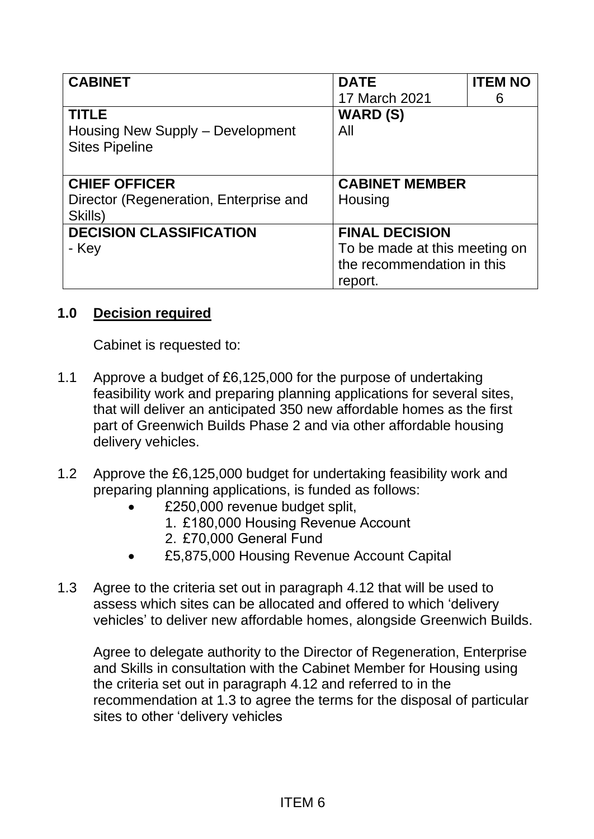| <b>CABINET</b>                         | <b>DATE</b>                   | <b>ITEM NO</b> |
|----------------------------------------|-------------------------------|----------------|
|                                        | 17 March 2021                 | 6              |
| <b>TITLE</b>                           | <b>WARD (S)</b>               |                |
| Housing New Supply - Development       | All                           |                |
| <b>Sites Pipeline</b>                  |                               |                |
|                                        |                               |                |
| <b>CHIEF OFFICER</b>                   | <b>CABINET MEMBER</b>         |                |
| Director (Regeneration, Enterprise and | Housing                       |                |
| Skills)                                |                               |                |
| <b>DECISION CLASSIFICATION</b>         | <b>FINAL DECISION</b>         |                |
| - Key                                  | To be made at this meeting on |                |
|                                        | the recommendation in this    |                |
|                                        | report.                       |                |

## **1.0 Decision required**

Cabinet is requested to:

- 1.1 Approve a budget of £6,125,000 for the purpose of undertaking feasibility work and preparing planning applications for several sites, that will deliver an anticipated 350 new affordable homes as the first part of Greenwich Builds Phase 2 and via other affordable housing delivery vehicles.
- 1.2 Approve the £6,125,000 budget for undertaking feasibility work and preparing planning applications, is funded as follows:
	- £250,000 revenue budget split,
		- 1. £180,000 Housing Revenue Account
		- 2. £70,000 General Fund
	- £5,875,000 Housing Revenue Account Capital
- 1.3 Agree to the criteria set out in paragraph 4.12 that will be used to assess which sites can be allocated and offered to which 'delivery vehicles' to deliver new affordable homes, alongside Greenwich Builds.

Agree to delegate authority to the Director of Regeneration, Enterprise and Skills in consultation with the Cabinet Member for Housing using the criteria set out in paragraph 4.12 and referred to in the recommendation at 1.3 to agree the terms for the disposal of particular sites to other 'delivery vehicles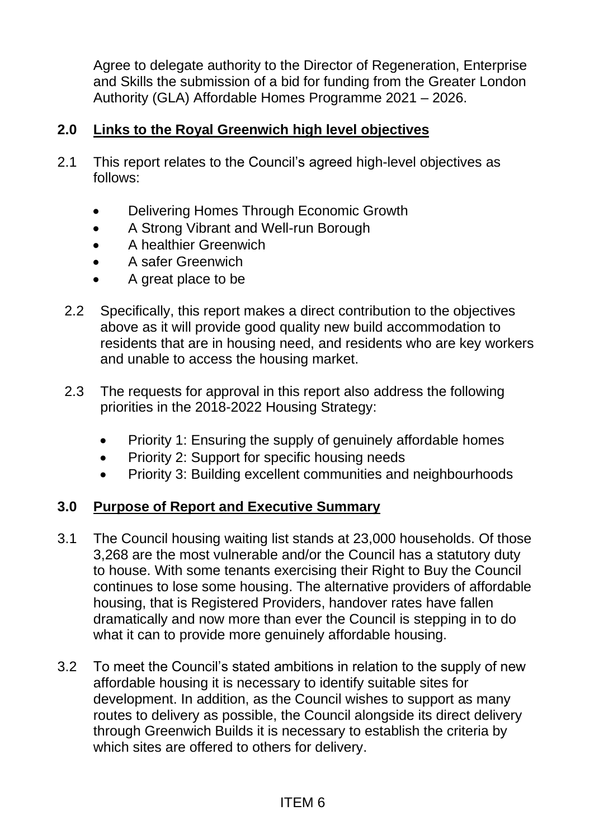Agree to delegate authority to the Director of Regeneration, Enterprise and Skills the submission of a bid for funding from the Greater London Authority (GLA) Affordable Homes Programme 2021 – 2026.

## **2.0 Links to the Royal Greenwich high level objectives**

- 2.1 This report relates to the Council's agreed high-level objectives as follows:
	- Delivering Homes Through Economic Growth
	- A Strong Vibrant and Well-run Borough
	- A healthier Greenwich
	- A safer Greenwich
	- A great place to be
	- 2.2 Specifically, this report makes a direct contribution to the objectives above as it will provide good quality new build accommodation to residents that are in housing need, and residents who are key workers and unable to access the housing market.
	- 2.3 The requests for approval in this report also address the following priorities in the 2018-2022 Housing Strategy:
		- Priority 1: Ensuring the supply of genuinely affordable homes
		- Priority 2: Support for specific housing needs
		- Priority 3: Building excellent communities and neighbourhoods

## **3.0 Purpose of Report and Executive Summary**

- 3.1 The Council housing waiting list stands at 23,000 households. Of those 3,268 are the most vulnerable and/or the Council has a statutory duty to house. With some tenants exercising their Right to Buy the Council continues to lose some housing. The alternative providers of affordable housing, that is Registered Providers, handover rates have fallen dramatically and now more than ever the Council is stepping in to do what it can to provide more genuinely affordable housing.
- 3.2 To meet the Council's stated ambitions in relation to the supply of new affordable housing it is necessary to identify suitable sites for development. In addition, as the Council wishes to support as many routes to delivery as possible, the Council alongside its direct delivery through Greenwich Builds it is necessary to establish the criteria by which sites are offered to others for delivery.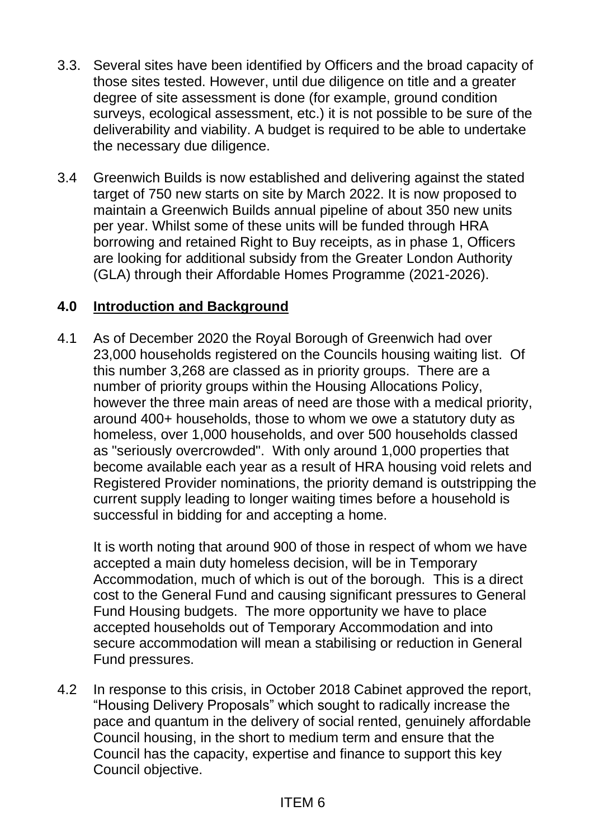- 3.3. Several sites have been identified by Officers and the broad capacity of those sites tested. However, until due diligence on title and a greater degree of site assessment is done (for example, ground condition surveys, ecological assessment, etc.) it is not possible to be sure of the deliverability and viability. A budget is required to be able to undertake the necessary due diligence.
- 3.4 Greenwich Builds is now established and delivering against the stated target of 750 new starts on site by March 2022. It is now proposed to maintain a Greenwich Builds annual pipeline of about 350 new units per year. Whilst some of these units will be funded through HRA borrowing and retained Right to Buy receipts, as in phase 1, Officers are looking for additional subsidy from the Greater London Authority (GLA) through their Affordable Homes Programme (2021-2026).

#### **4.0 Introduction and Background**

4.1 As of December 2020 the Royal Borough of Greenwich had over 23,000 households registered on the Councils housing waiting list. Of this number 3,268 are classed as in priority groups. There are a number of priority groups within the Housing Allocations Policy, however the three main areas of need are those with a medical priority, around 400+ households, those to whom we owe a statutory duty as homeless, over 1,000 households, and over 500 households classed as "seriously overcrowded". With only around 1,000 properties that become available each year as a result of HRA housing void relets and Registered Provider nominations, the priority demand is outstripping the current supply leading to longer waiting times before a household is successful in bidding for and accepting a home.

It is worth noting that around 900 of those in respect of whom we have accepted a main duty homeless decision, will be in Temporary Accommodation, much of which is out of the borough. This is a direct cost to the General Fund and causing significant pressures to General Fund Housing budgets. The more opportunity we have to place accepted households out of Temporary Accommodation and into secure accommodation will mean a stabilising or reduction in General Fund pressures.

4.2 In response to this crisis, in October 2018 Cabinet approved the report, "Housing Delivery Proposals" which sought to radically increase the pace and quantum in the delivery of social rented, genuinely affordable Council housing, in the short to medium term and ensure that the Council has the capacity, expertise and finance to support this key Council objective.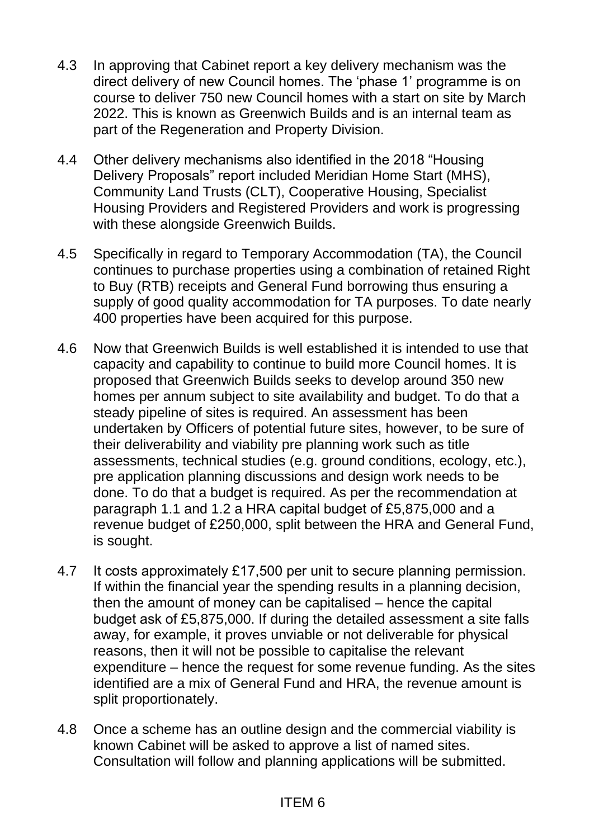- 4.3 In approving that Cabinet report a key delivery mechanism was the direct delivery of new Council homes. The 'phase 1' programme is on course to deliver 750 new Council homes with a start on site by March 2022. This is known as Greenwich Builds and is an internal team as part of the Regeneration and Property Division.
- 4.4 Other delivery mechanisms also identified in the 2018 "Housing Delivery Proposals" report included Meridian Home Start (MHS), Community Land Trusts (CLT), Cooperative Housing, Specialist Housing Providers and Registered Providers and work is progressing with these alongside Greenwich Builds.
- 4.5 Specifically in regard to Temporary Accommodation (TA), the Council continues to purchase properties using a combination of retained Right to Buy (RTB) receipts and General Fund borrowing thus ensuring a supply of good quality accommodation for TA purposes. To date nearly 400 properties have been acquired for this purpose.
- 4.6 Now that Greenwich Builds is well established it is intended to use that capacity and capability to continue to build more Council homes. It is proposed that Greenwich Builds seeks to develop around 350 new homes per annum subject to site availability and budget. To do that a steady pipeline of sites is required. An assessment has been undertaken by Officers of potential future sites, however, to be sure of their deliverability and viability pre planning work such as title assessments, technical studies (e.g. ground conditions, ecology, etc.), pre application planning discussions and design work needs to be done. To do that a budget is required. As per the recommendation at paragraph 1.1 and 1.2 a HRA capital budget of £5,875,000 and a revenue budget of £250,000, split between the HRA and General Fund, is sought.
- 4.7 It costs approximately £17,500 per unit to secure planning permission. If within the financial year the spending results in a planning decision, then the amount of money can be capitalised – hence the capital budget ask of £5,875,000. If during the detailed assessment a site falls away, for example, it proves unviable or not deliverable for physical reasons, then it will not be possible to capitalise the relevant expenditure – hence the request for some revenue funding. As the sites identified are a mix of General Fund and HRA, the revenue amount is split proportionately.
- 4.8 Once a scheme has an outline design and the commercial viability is known Cabinet will be asked to approve a list of named sites. Consultation will follow and planning applications will be submitted.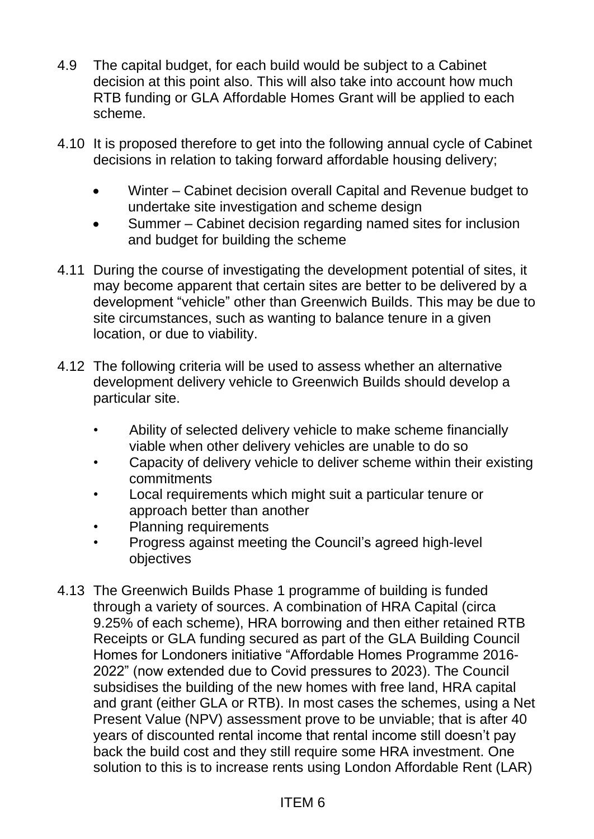- 4.9 The capital budget, for each build would be subject to a Cabinet decision at this point also. This will also take into account how much RTB funding or GLA Affordable Homes Grant will be applied to each scheme.
- 4.10 It is proposed therefore to get into the following annual cycle of Cabinet decisions in relation to taking forward affordable housing delivery;
	- Winter Cabinet decision overall Capital and Revenue budget to undertake site investigation and scheme design
	- Summer Cabinet decision regarding named sites for inclusion and budget for building the scheme
- 4.11 During the course of investigating the development potential of sites, it may become apparent that certain sites are better to be delivered by a development "vehicle" other than Greenwich Builds. This may be due to site circumstances, such as wanting to balance tenure in a given location, or due to viability.
- 4.12 The following criteria will be used to assess whether an alternative development delivery vehicle to Greenwich Builds should develop a particular site.
	- Ability of selected delivery vehicle to make scheme financially viable when other delivery vehicles are unable to do so
	- Capacity of delivery vehicle to deliver scheme within their existing commitments
	- Local requirements which might suit a particular tenure or approach better than another
	- Planning requirements
	- Progress against meeting the Council's agreed high-level objectives
- 4.13 The Greenwich Builds Phase 1 programme of building is funded through a variety of sources. A combination of HRA Capital (circa 9.25% of each scheme), HRA borrowing and then either retained RTB Receipts or GLA funding secured as part of the GLA Building Council Homes for Londoners initiative "Affordable Homes Programme 2016- 2022" (now extended due to Covid pressures to 2023). The Council subsidises the building of the new homes with free land, HRA capital and grant (either GLA or RTB). In most cases the schemes, using a Net Present Value (NPV) assessment prove to be unviable; that is after 40 years of discounted rental income that rental income still doesn't pay back the build cost and they still require some HRA investment. One solution to this is to increase rents using London Affordable Rent (LAR)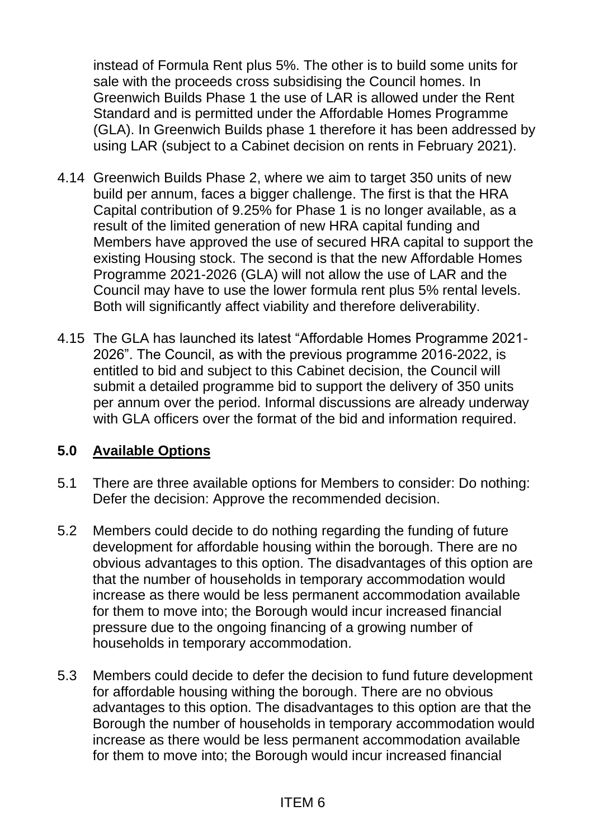instead of Formula Rent plus 5%. The other is to build some units for sale with the proceeds cross subsidising the Council homes. In Greenwich Builds Phase 1 the use of LAR is allowed under the Rent Standard and is permitted under the Affordable Homes Programme (GLA). In Greenwich Builds phase 1 therefore it has been addressed by using LAR (subject to a Cabinet decision on rents in February 2021).

- 4.14 Greenwich Builds Phase 2, where we aim to target 350 units of new build per annum, faces a bigger challenge. The first is that the HRA Capital contribution of 9.25% for Phase 1 is no longer available, as a result of the limited generation of new HRA capital funding and Members have approved the use of secured HRA capital to support the existing Housing stock. The second is that the new Affordable Homes Programme 2021-2026 (GLA) will not allow the use of LAR and the Council may have to use the lower formula rent plus 5% rental levels. Both will significantly affect viability and therefore deliverability.
- 4.15 The GLA has launched its latest "Affordable Homes Programme 2021- 2026". The Council, as with the previous programme 2016-2022, is entitled to bid and subject to this Cabinet decision, the Council will submit a detailed programme bid to support the delivery of 350 units per annum over the period. Informal discussions are already underway with GLA officers over the format of the bid and information required.

## **5.0 Available Options**

- 5.1 There are three available options for Members to consider: Do nothing: Defer the decision: Approve the recommended decision.
- 5.2 Members could decide to do nothing regarding the funding of future development for affordable housing within the borough. There are no obvious advantages to this option. The disadvantages of this option are that the number of households in temporary accommodation would increase as there would be less permanent accommodation available for them to move into; the Borough would incur increased financial pressure due to the ongoing financing of a growing number of households in temporary accommodation.
- 5.3 Members could decide to defer the decision to fund future development for affordable housing withing the borough. There are no obvious advantages to this option. The disadvantages to this option are that the Borough the number of households in temporary accommodation would increase as there would be less permanent accommodation available for them to move into; the Borough would incur increased financial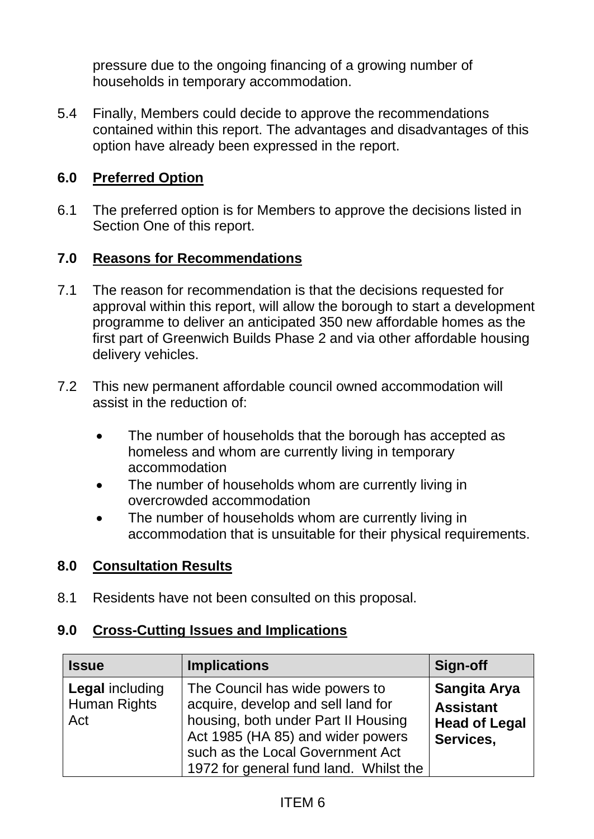pressure due to the ongoing financing of a growing number of households in temporary accommodation.

5.4 Finally, Members could decide to approve the recommendations contained within this report. The advantages and disadvantages of this option have already been expressed in the report.

## **6.0 Preferred Option**

6.1 The preferred option is for Members to approve the decisions listed in Section One of this report.

#### **7.0 Reasons for Recommendations**

- 7.1 The reason for recommendation is that the decisions requested for approval within this report, will allow the borough to start a development programme to deliver an anticipated 350 new affordable homes as the first part of Greenwich Builds Phase 2 and via other affordable housing delivery vehicles.
- 7.2 This new permanent affordable council owned accommodation will assist in the reduction of:
	- The number of households that the borough has accepted as homeless and whom are currently living in temporary accommodation
	- The number of households whom are currently living in overcrowded accommodation
	- The number of households whom are currently living in accommodation that is unsuitable for their physical requirements.

#### **8.0 Consultation Results**

8.1 Residents have not been consulted on this proposal.

#### **9.0 Cross-Cutting Issues and Implications**

| <b>Issue</b>                                  | <b>Implications</b>                                                                                                                                                                                                            | Sign-off                                                              |
|-----------------------------------------------|--------------------------------------------------------------------------------------------------------------------------------------------------------------------------------------------------------------------------------|-----------------------------------------------------------------------|
| <b>Legal including</b><br>Human Rights<br>Act | The Council has wide powers to<br>acquire, develop and sell land for<br>housing, both under Part II Housing<br>Act 1985 (HA 85) and wider powers<br>such as the Local Government Act<br>1972 for general fund land. Whilst the | Sangita Arya<br><b>Assistant</b><br><b>Head of Legal</b><br>Services, |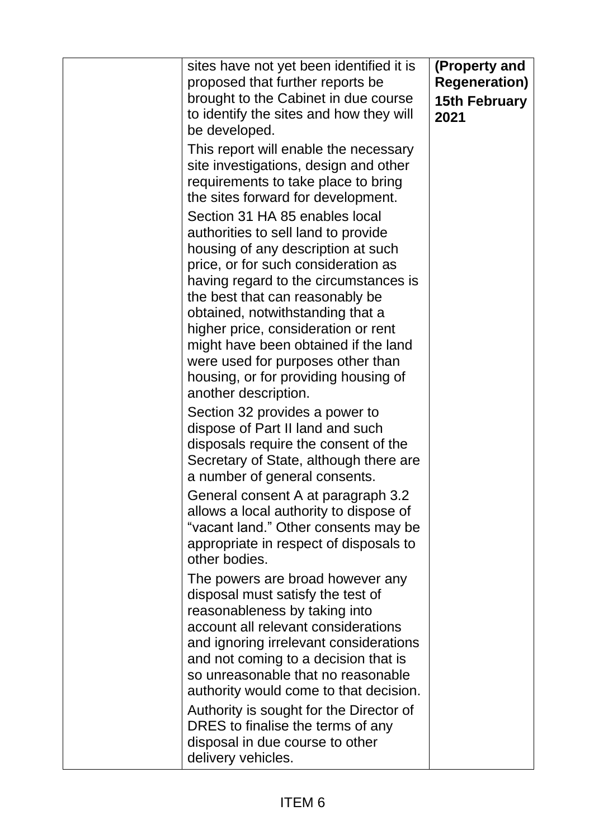| sites have not yet been identified it is<br>proposed that further reports be<br>brought to the Cabinet in due course<br>to identify the sites and how they will<br>be developed.                                                                                                                                                                                                                                                                                                                                             | (Property and<br><b>Regeneration)</b><br><b>15th February</b><br>2021 |
|------------------------------------------------------------------------------------------------------------------------------------------------------------------------------------------------------------------------------------------------------------------------------------------------------------------------------------------------------------------------------------------------------------------------------------------------------------------------------------------------------------------------------|-----------------------------------------------------------------------|
| This report will enable the necessary<br>site investigations, design and other<br>requirements to take place to bring<br>the sites forward for development.                                                                                                                                                                                                                                                                                                                                                                  |                                                                       |
| Section 31 HA 85 enables local<br>authorities to sell land to provide<br>housing of any description at such<br>price, or for such consideration as<br>having regard to the circumstances is<br>the best that can reasonably be<br>obtained, notwithstanding that a<br>higher price, consideration or rent<br>might have been obtained if the land<br>were used for purposes other than<br>housing, or for providing housing of<br>another description.<br>Section 32 provides a power to<br>dispose of Part II land and such |                                                                       |
| disposals require the consent of the<br>Secretary of State, although there are<br>a number of general consents.<br>General consent A at paragraph 3.2<br>allows a local authority to dispose of<br>"vacant land." Other consents may be<br>appropriate in respect of disposals to<br>other bodies.                                                                                                                                                                                                                           |                                                                       |
| The powers are broad however any<br>disposal must satisfy the test of<br>reasonableness by taking into<br>account all relevant considerations<br>and ignoring irrelevant considerations<br>and not coming to a decision that is<br>so unreasonable that no reasonable<br>authority would come to that decision.<br>Authority is sought for the Director of<br>DRES to finalise the terms of any<br>disposal in due course to other<br>delivery vehicles.                                                                     |                                                                       |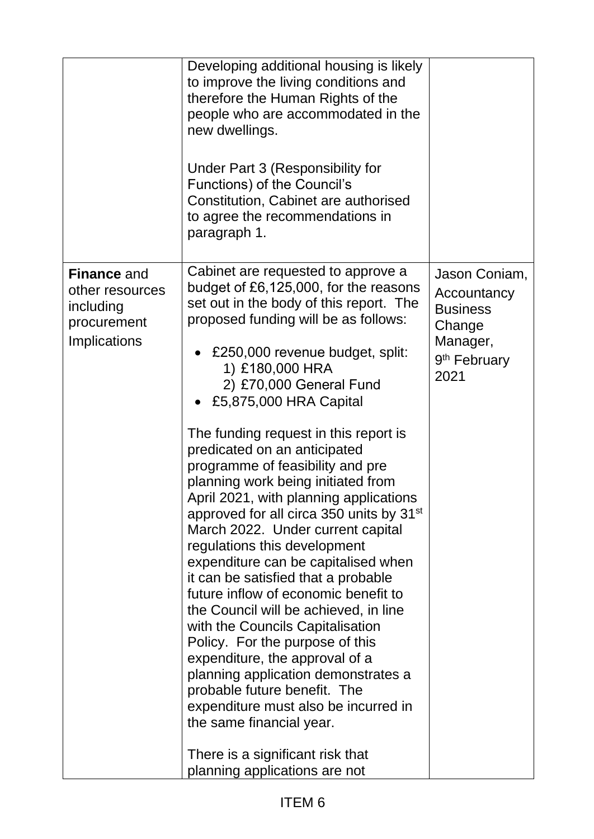|                                                                                          | Developing additional housing is likely<br>to improve the living conditions and<br>therefore the Human Rights of the<br>people who are accommodated in the<br>new dwellings.<br>Under Part 3 (Responsibility for<br>Functions) of the Council's<br>Constitution, Cabinet are authorised<br>to agree the recommendations in<br>paragraph 1.                                                                                                                                                                                                                                                                                                                                                                                                                                                                                                                                                                                                                                                                                                                                                  |                                                                                                           |
|------------------------------------------------------------------------------------------|---------------------------------------------------------------------------------------------------------------------------------------------------------------------------------------------------------------------------------------------------------------------------------------------------------------------------------------------------------------------------------------------------------------------------------------------------------------------------------------------------------------------------------------------------------------------------------------------------------------------------------------------------------------------------------------------------------------------------------------------------------------------------------------------------------------------------------------------------------------------------------------------------------------------------------------------------------------------------------------------------------------------------------------------------------------------------------------------|-----------------------------------------------------------------------------------------------------------|
| <b>Finance and</b><br>other resources<br>including<br>procurement<br><b>Implications</b> | Cabinet are requested to approve a<br>budget of £6,125,000, for the reasons<br>set out in the body of this report. The<br>proposed funding will be as follows:<br>£250,000 revenue budget, split:<br>1) £180,000 HRA<br>2) £70,000 General Fund<br>£5,875,000 HRA Capital<br>The funding request in this report is<br>predicated on an anticipated<br>programme of feasibility and pre<br>planning work being initiated from<br>April 2021, with planning applications<br>approved for all circa 350 units by 31 <sup>st</sup><br>March 2022. Under current capital<br>regulations this development<br>expenditure can be capitalised when<br>it can be satisfied that a probable<br>future inflow of economic benefit to<br>the Council will be achieved, in line<br>with the Councils Capitalisation<br>Policy. For the purpose of this<br>expenditure, the approval of a<br>planning application demonstrates a<br>probable future benefit. The<br>expenditure must also be incurred in<br>the same financial year.<br>There is a significant risk that<br>planning applications are not | Jason Coniam,<br>Accountancy<br><b>Business</b><br>Change<br>Manager,<br>9 <sup>th</sup> February<br>2021 |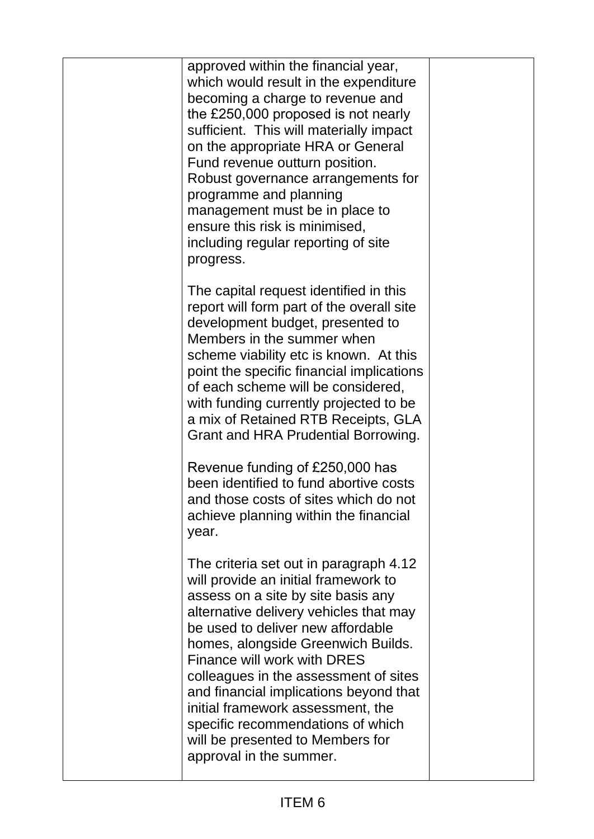| approved within the financial year,<br>which would result in the expenditure<br>becoming a charge to revenue and<br>the £250,000 proposed is not nearly<br>sufficient. This will materially impact<br>on the appropriate HRA or General<br>Fund revenue outturn position.<br>Robust governance arrangements for<br>programme and planning<br>management must be in place to<br>ensure this risk is minimised,<br>including regular reporting of site<br>progress.                                    |  |
|------------------------------------------------------------------------------------------------------------------------------------------------------------------------------------------------------------------------------------------------------------------------------------------------------------------------------------------------------------------------------------------------------------------------------------------------------------------------------------------------------|--|
| The capital request identified in this<br>report will form part of the overall site<br>development budget, presented to<br>Members in the summer when<br>scheme viability etc is known. At this<br>point the specific financial implications<br>of each scheme will be considered,<br>with funding currently projected to be<br>a mix of Retained RTB Receipts, GLA<br>Grant and HRA Prudential Borrowing.                                                                                           |  |
| Revenue funding of £250,000 has<br>been identified to fund abortive costs<br>and those costs of sites which do not<br>achieve planning within the financial<br>year.                                                                                                                                                                                                                                                                                                                                 |  |
| The criteria set out in paragraph 4.12<br>will provide an initial framework to<br>assess on a site by site basis any<br>alternative delivery vehicles that may<br>be used to deliver new affordable<br>homes, alongside Greenwich Builds.<br>Finance will work with DRES<br>colleagues in the assessment of sites<br>and financial implications beyond that<br>initial framework assessment, the<br>specific recommendations of which<br>will be presented to Members for<br>approval in the summer. |  |